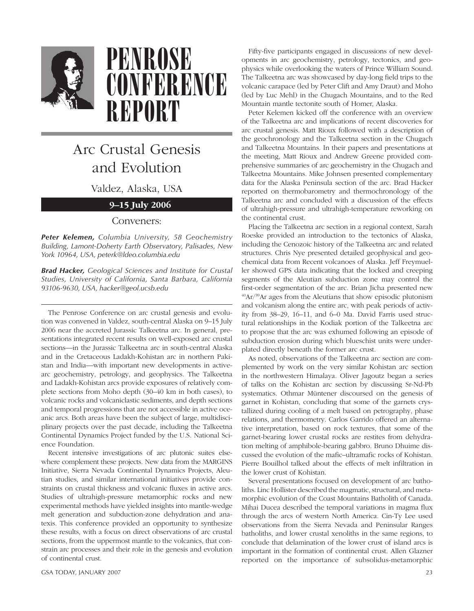

## **PENROSE CONFERENCE REPORT**

## Arc Crustal Genesis and Evolution

Valdez, Alaska, USA

## **9–15 July 2006**

## Conveners:

*Peter Kelemen, Columbia University, 58 Geochemistry Building, Lamont-Doherty Earth Observatory, Palisades, New York 10964, USA, peterk@ldeo.columbia.edu*

*Brad Hacker, Geological Sciences and Institute for Crustal Studies, University of California, Santa Barbara, California 93106-9630, USA, hacker@geol.ucsb.edu*

The Penrose Conference on arc crustal genesis and evolution was convened in Valdez, south-central Alaska on 9–15 July 2006 near the accreted Jurassic Talkeetna arc. In general, presentations integrated recent results on well-exposed arc crustal sections—in the Jurassic Talkeetna arc in south-central Alaska and in the Cretaceous Ladakh-Kohistan arc in northern Pakistan and India—with important new developments in activearc geochemistry, petrology, and geophysics. The Talkeetna and Ladakh-Kohistan arcs provide exposures of relatively complete sections from Moho depth (30–40 km in both cases), to volcanic rocks and volcaniclastic sediments, and depth sections and temporal progressions that are not accessible in active oceanic arcs. Both areas have been the subject of large, multidisciplinary projects over the past decade, including the Talkeetna Continental Dynamics Project funded by the U.S. National Science Foundation.

Recent intensive investigations of arc plutonic suites elsewhere complement these projects. New data from the MARGINS Initiative, Sierra Nevada Continental Dynamics Projects, Aleutian studies, and similar international initiatives provide constraints on crustal thickness and volcanic fluxes in active arcs. Studies of ultrahigh-pressure metamorphic rocks and new experimental methods have yielded insights into mantle-wedge melt generation and subduction-zone dehydration and anatexis. This conference provided an opportunity to synthesize these results, with a focus on direct observations of arc crustal sections, from the uppermost mantle to the volcanics, that constrain arc processes and their role in the genesis and evolution of continental crust.

GSA TODAY, JANUARY 2007 23

Fifty-five participants engaged in discussions of new developments in arc geochemistry, petrology, tectonics, and geophysics while overlooking the waters of Prince William Sound. The Talkeetna arc was showcased by day-long field trips to the volcanic carapace (led by Peter Clift and Amy Draut) and Moho (led by Luc Mehl) in the Chugach Mountains, and to the Red Mountain mantle tectonite south of Homer, Alaska.

Peter Kelemen kicked off the conference with an overview of the Talkeetna arc and implications of recent discoveries for arc crustal genesis. Matt Rioux followed with a description of the geochronology and the Talkeetna section in the Chugach and Talkeetna Mountains. In their papers and presentations at the meeting, Matt Rioux and Andrew Greene provided comprehensive summaries of arc geochemistry in the Chugach and Talkeetna Mountains. Mike Johnsen presented complementary data for the Alaska Peninsula section of the arc. Brad Hacker reported on thermobarometry and thermochronology of the Talkeetna arc and concluded with a discussion of the effects of ultrahigh-pressure and ultrahigh-temperature reworking on the continental crust.

Placing the Talkeetna arc section in a regional context, Sarah Roeske provided an introduction to the tectonics of Alaska, including the Cenozoic history of the Talkeetna arc and related structures. Chris Nye presented detailed geophysical and geochemical data from Recent volcanoes of Alaska. Jeff Freymueller showed GPS data indicating that the locked and creeping segments of the Aleutian subduction zone may control the first-order segmentation of the arc. Brian Jicha presented new  $^{40}$ Ar/ $^{39}$ Ar ages from the Aleutians that show episodic plutonism and volcanism along the entire arc, with peak periods of activity from 38–29, 16–11, and 6–0 Ma. David Farris used structural relationships in the Kodiak portion of the Talkeetna arc to propose that the arc was exhumed following an episode of subduction erosion during which blueschist units were underplated directly beneath the former arc crust.

As noted, observations of the Talkeetna arc section are complemented by work on the very similar Kohistan arc section in the northwestern Himalaya. Oliver Jagoutz began a series of talks on the Kohistan arc section by discussing Sr-Nd-Pb systematics. Othmar Müntener discoursed on the genesis of garnet in Kohistan, concluding that some of the garnets crystallized during cooling of a melt based on petrography, phase relations, and thermometry. Carlos Garrido offered an alternative interpretation, based on rock textures, that some of the garnet-bearing lower crustal rocks are restites from dehydration melting of amphibole-bearing gabbro. Bruno Dhuime discussed the evolution of the mafic–ultramafic rocks of Kohistan. Pierre Bouilhol talked about the effects of melt infiltration in the lower crust of Kohistan.

Several presentations focused on development of arc batholiths. Linc Hollister described the magmatic, structural, and metamorphic evolution of the Coast Mountains Batholith of Canada. Mihai Ducea described the temporal variations in magma flux through the arcs of western North America. Cin-Ty Lee used observations from the Sierra Nevada and Peninsular Ranges batholiths, and lower crustal xenoliths in the same regions, to conclude that delamination of the lower crust of island arcs is important in the formation of continental crust. Allen Glazner reported on the importance of subsolidus-metamorphic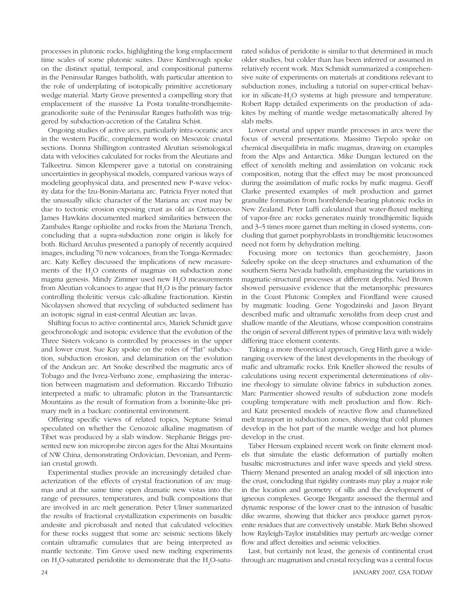processes in plutonic rocks, highlighting the long emplacement time scales of some plutonic suites. Dave Kimbrough spoke on the distinct spatial, temporal, and compositional patterns in the Peninsular Ranges batholith, with particular attention to the role of underplating of isotopically primitive accretionary wedge material. Marty Grove presented a compelling story that emplacement of the massive La Posta tonalite-trondhjemitegranodiorite suite of the Peninsular Ranges batholith was triggered by subduction-accretion of the Catalina Schist.

Ongoing studies of active arcs, particularly intra-oceanic arcs in the western Pacific, complement work on Mesozoic crustal sections. Donna Shillington contrasted Aleutian seismological data with velocities calculated for rocks from the Aleutians and Talkeetna. Simon Klemperer gave a tutorial on constraining uncertainties in geophysical models, compared various ways of modeling geophysical data, and presented new P-wave velocity data for the Izu-Bonin-Mariana arc. Patricia Fryer noted that the unusually silicic character of the Mariana arc crust may be due to tectonic erosion exposing crust as old as Cretaceous. James Hawkins documented marked similarities between the Zambales Range ophiolite and rocks from the Mariana Trench, concluding that a supra-subduction zone origin is likely for both. Richard Arculus presented a panoply of recently acquired images, including 70 new volcanoes, from the Tonga-Kermadec arc. Katy Kelley discussed the implications of new measurements of the  $H_2O$  contents of magmas on subduction zone magma genesis. Mindy Zimmer used new  $H_2O$  measurements from Aleutian volcanoes to argue that  $H_2O$  is the primary factor controlling tholeiitic versus calc-alkaline fractionation. Kirstin Nicolaysen showed that recycling of subducted sediment has an isotopic signal in east-central Aleutian arc lavas.

Shifting focus to active continental arcs, Mariek Schmidt gave geochronologic and isotopic evidence that the evolution of the Three Sisters volcano is controlled by processes in the upper and lower crust. Sue Kay spoke on the roles of "flat" subduction, subduction erosion, and delamination on the evolution of the Andean arc. Art Snoke described the magmatic arcs of Tobago and the Ivrea-Verbano zone, emphasizing the interaction between magmatism and deformation. Riccardo Tribuzio interpreted a mafic to ultramafic pluton in the Transantarctic Mountains as the result of formation from a boninite-like primary melt in a backarc continental environment.

Offering specific views of related topics, Neptune Srimal speculated on whether the Cenozoic alkaline magmatism of Tibet was produced by a slab window. Stephanie Briggs presented new ion microprobe zircon ages for the Altai Mountains of NW China, demonstrating Ordovician, Devonian, and Permian crustal growth.

Experimental studies provide an increasingly detailed characterization of the effects of crystal fractionation of arc magmas and at the same time open dramatic new vistas into the range of pressures, temperatures, and bulk compositions that are involved in arc melt generation. Peter Ulmer summarized the results of fractional crystallization experiments on basaltic andesite and picrobasalt and noted that calculated velocities for these rocks suggest that some arc seismic sections likely contain ultramafic cumulates that are being interpreted as mantle tectonite. Tim Grove used new melting experiments on  $H_2O$ -saturated peridotite to demonstrate that the  $H_2O$ -saturated solidus of peridotite is similar to that determined in much older studies, but colder than has been inferred or assumed in relatively recent work. Max Schmidt summarized a comprehensive suite of experiments on materials at conditions relevant to subduction zones, including a tutorial on super-critical behavior in silicate-H2 O systems at high pressure and temperature. Robert Rapp detailed experiments on the production of adakites by melting of mantle wedge metasomatically altered by slab melts.

Lower crustal and upper mantle processes in arcs were the focus of several presentations. Massimo Tiepolo spoke on chemical disequilibria in mafic magmas, drawing on examples from the Alps and Antarctica. Mike Dungan lectured on the effect of xenolith melting and assimilation on volcanic rock composition, noting that the effect may be most pronounced during the assimilation of mafic rocks by mafic magma. Geoff Clarke presented examples of melt production and garnet granulite formation from hornblende-bearing plutonic rocks in New Zealand. Peter Luffi calculated that water-fluxed melting of vapor-free arc rocks generates mainly trondhjemitic liquids and 3–5 times more garnet than melting in closed systems, concluding that garnet porphyroblasts in trondhjemitic leucosomes need not form by dehydration melting.

Focusing more on tectonics than geochemistry, Jason Saleeby spoke on the deep structures and exhumation of the southern Sierra Nevada batholith, emphasizing the variations in magmatic-structural processes at different depths. Ned Brown showed persuasive evidence that the metamorphic pressures in the Coast Plutonic Complex and Fiordland were caused by magmatic loading. Gene Yogodzinski and Jason Bryant described mafic and ultramafic xenoliths from deep crust and shallow mantle of the Aleutians, whose composition constrains the origin of several different types of primitive lava with widely differing trace element contents.

Taking a more theoretical approach, Greg Hirth gave a wideranging overview of the latest developments in the rheology of mafic and ultramafic rocks. Erik Kneller showed the results of calculations using recent experimental determinations of olivine rheology to simulate olivine fabrics in subduction zones. Marc Parmentier showed results of subduction zone models coupling temperature with melt production and flow. Richard Katz presented models of reactive flow and channelized melt transport in subduction zones, showing that cold plumes develop in the hot part of the mantle wedge and hot plumes develop in the crust.

Taber Hersum explained recent work on finite element models that simulate the elastic deformation of partially molten basaltic microstructures and infer wave speeds and yield stress. Thierry Menand presented an analog model of sill injection into the crust, concluding that rigidity contrasts may play a major role in the location and geometry of sills and the development of igneous complexes. George Bergantz assessed the thermal and dynamic response of the lower crust to the intrusion of basaltic dike swarms, showing that thicker arcs produce garnet pyroxenite residues that are convectively unstable. Mark Behn showed how Rayleigh-Taylor instabilities may perturb arc-wedge corner flow and affect densities and seismic velocities.

Last, but certainly not least, the genesis of continental crust through arc magmatism and crustal recycling was a central focus